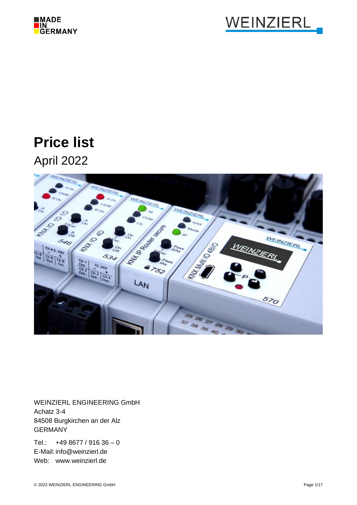



# **Price list**

April 2022



WEINZIERL ENGINEERING GmbH Achatz 3-4 84508 Burgkirchen an der Alz GERMANY

Tel.:  $+498677/91636 - 0$ E-Mail: info@weinzierl.de Web: www.weinzierl.de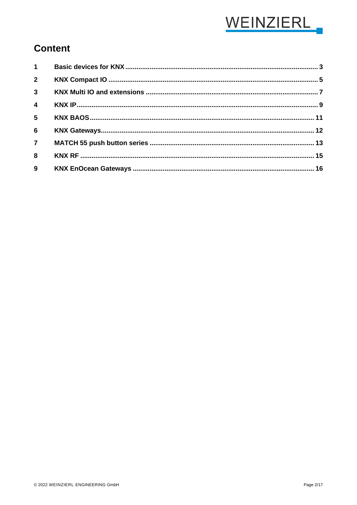

## **Content**

| $\overline{2}$ |  |
|----------------|--|
| $\overline{3}$ |  |
| $\overline{4}$ |  |
| 5 <sup>1</sup> |  |
| $6\phantom{a}$ |  |
| $\overline{7}$ |  |
| $\bf{8}$       |  |
| $\mathbf{9}$   |  |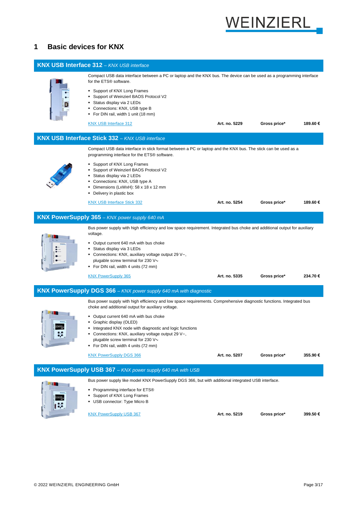

## <span id="page-2-0"></span>**1 Basic devices for KNX**

|    | <b>KNX USB Interface 312 - KNX USB interface</b>                                                                                                                                                                                                                                                                                                                                                                                                                                               |               |              |         |
|----|------------------------------------------------------------------------------------------------------------------------------------------------------------------------------------------------------------------------------------------------------------------------------------------------------------------------------------------------------------------------------------------------------------------------------------------------------------------------------------------------|---------------|--------------|---------|
|    | Compact USB data interface between a PC or laptop and the KNX bus. The device can be used as a programming interface<br>for the ETS® software.<br>• Support of KNX Long Frames<br>• Support of Weinzierl BAOS Protocol V2<br>Status display via 2 LEDs<br>• Connections: KNX, USB type B<br>• For DIN rail, width 1 unit (18 mm)<br><b>KNX USB Interface 312</b>                                                                                                                               | Art. no. 5229 | Gross price* | 189.60€ |
|    | <b>KNX USB Interface Stick 332 - KNX USB interface</b>                                                                                                                                                                                                                                                                                                                                                                                                                                         |               |              |         |
|    | Compact USB data interface in stick format between a PC or laptop and the KNX bus. The stick can be used as a<br>programming interface for the ETS® software.<br>• Support of KNX Long Frames<br>Support of Weinzierl BAOS Protocol V2<br>Status display via 2 LEDs<br>• Connections: KNX, USB type A<br>Dimensions (LxWxH): 58 x 18 x 12 mm<br>• Delivery in plastic box                                                                                                                      |               |              |         |
|    | <b>KNX USB Interface Stick 332</b>                                                                                                                                                                                                                                                                                                                                                                                                                                                             | Art. no. 5254 | Gross price* | 189.60€ |
|    | <b>KNX PowerSupply 365</b> - KNX power supply 640 mA                                                                                                                                                                                                                                                                                                                                                                                                                                           |               |              |         |
|    | Bus power supply with high efficiency and low space requirement. Integrated bus choke and additional output for auxiliary<br>voltage.<br>• Output current 640 mA with bus choke<br>Status display via 3 LEDs<br>Connections: KNX, auxiliary voltage output 29 $V =$ ,<br>plugable screw terminal for 230 $\vee \sim$<br>• For DIN rail, width 4 units (72 mm)                                                                                                                                  |               |              |         |
|    | <b>KNX PowerSupply 365</b>                                                                                                                                                                                                                                                                                                                                                                                                                                                                     | Art. no. 5335 | Gross price* | 234.70€ |
|    | <b>KNX PowerSupply DGS 366 - KNX power supply 640 mA with diagnostic</b>                                                                                                                                                                                                                                                                                                                                                                                                                       |               |              |         |
|    | Bus power supply with high efficiency and low space requirements. Comprehensive diagnostic functions. Integrated bus<br>choke and additional output for auxiliary voltage.<br>• Output current 640 mA with bus choke<br>Graphic display (OLED)<br>Integrated KNX node with diagnostic and logic functions<br>• Connections: KNX, auxiliary voltage output 29 $V =$ ,<br>plugable screw terminal for 230 $\vee \sim$<br>• For DIN rail, width 4 units (72 mm)<br><b>KNX PowerSupply DGS 366</b> | Art. no. 5207 | Gross price* | 355.90€ |
|    | KNX PowerSupply USB 367 - KNX power supply 640 mA with USB                                                                                                                                                                                                                                                                                                                                                                                                                                     |               |              |         |
| 通事 | Bus power supply like model KNX PowerSupply DGS 366, but with additional integrated USB interface.<br>• Programming interface for ETS®<br>Support of KNX Long Frames<br>USB connector: Type Micro B<br><b>KNX PowerSupply USB 367</b>                                                                                                                                                                                                                                                          | Art. no. 5219 | Gross price* | 399.50€ |
|    |                                                                                                                                                                                                                                                                                                                                                                                                                                                                                                |               |              |         |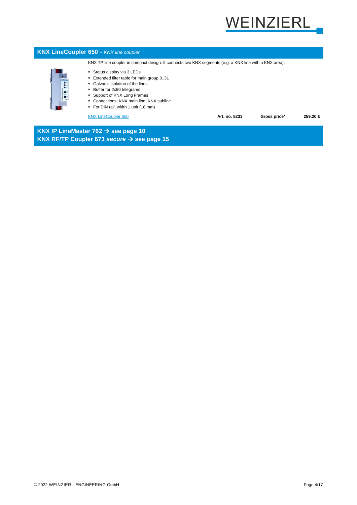# VEINZIERL



**KNX RF/TP Coupler 673** *secure* → **see page 15**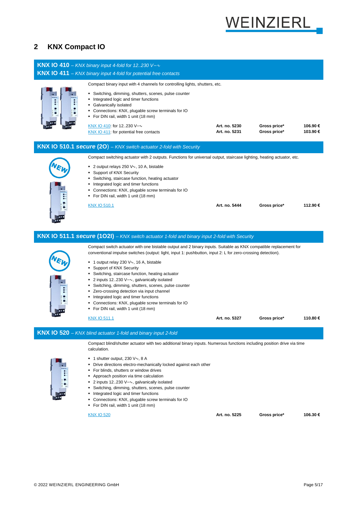# WEINZIERL

## <span id="page-4-0"></span>**2 KNX Compact IO**

| <b>KNX IO 410</b> – KNX binary input 4-fold for 12230 V= $\sim$                                                                                                                                                                                                                                                                                                                                                                                                                                                                                                                                                                                                                                                     |                                |                              |                    |
|---------------------------------------------------------------------------------------------------------------------------------------------------------------------------------------------------------------------------------------------------------------------------------------------------------------------------------------------------------------------------------------------------------------------------------------------------------------------------------------------------------------------------------------------------------------------------------------------------------------------------------------------------------------------------------------------------------------------|--------------------------------|------------------------------|--------------------|
| KNX IO 411 - KNX binary input 4-fold for potential free contacts                                                                                                                                                                                                                                                                                                                                                                                                                                                                                                                                                                                                                                                    |                                |                              |                    |
| Compact binary input with 4 channels for controlling lights, shutters, etc.<br>• Switching, dimming, shutters, scenes, pulse counter<br>Integrated logic and timer functions<br>• Galvanically isolated<br>• Connections: KNX, plugable screw terminals for IO<br>• For DIN rail, width 1 unit (18 mm)<br>KNX IO 410: for 12230 V=~<br><b>KNX IO 411:</b> for potential free contacts                                                                                                                                                                                                                                                                                                                               | Art. no. 5230<br>Art. no. 5231 | Gross price*<br>Gross price* | 106.90€<br>103.90€ |
| <b>KNX IO 510.1 secure (20)</b> – KNX switch actuator 2-fold with Security                                                                                                                                                                                                                                                                                                                                                                                                                                                                                                                                                                                                                                          |                                |                              |                    |
| Compact switching actuator with 2 outputs. Functions for universal output, staircase lighting, heating actuator, etc.<br>$\blacksquare$ 2 output relays 250 V $\sim$ , 10 A, bistable<br>• Support of KNX Security<br>• Switching, staircase function, heating actuator<br>Integrated logic and timer functions<br>• Connections: KNX, plugable screw terminals for IO<br>• For DIN rail, width 1 unit (18 mm)<br><u>KNX IO 510.1</u>                                                                                                                                                                                                                                                                               | Art. no. 5444                  | Gross price*                 | 112.90€            |
| KNX IO 511.1 secure (102I) - KNX switch actuator 1-fold and binary input 2-fold with Security                                                                                                                                                                                                                                                                                                                                                                                                                                                                                                                                                                                                                       |                                |                              |                    |
| Compact switch actuator with one bistable output and 2 binary inputs. Suitable as KNX compatible replacement for<br>conventional impulse switches (output: light, input 1: pushbutton, input 2: L for zero-crossing detection).<br>$\blacksquare$ 1 output relay 230 V $\sim$ , 16 A, bistable<br>• Support of KNX Security<br>• Switching, staircase function, heating actuator<br>$\blacksquare$ 2 inputs 12230 V = $\sim$ , galvanically isolated<br>• Switching, dimming, shutters, scenes, pulse counter<br>" Zero-crossing detection via input channel<br>Integrated logic and timer functions<br>• Connections: KNX, plugable screw terminals for IO<br>• For DIN rail, width 1 unit (18 mm)<br>KNX IO 511.1 | Art. no. 5327                  | Gross price*                 | 110.80€            |
|                                                                                                                                                                                                                                                                                                                                                                                                                                                                                                                                                                                                                                                                                                                     |                                |                              |                    |
| KNX IO 520 - KNX blind actuator 1-fold and binary input 2-fold<br>Compact blind/shutter actuator with two additional binary inputs. Numerous functions including position drive via time<br>calculation.<br>■ 1 shutter output, 230 $\vee \sim$ , 8 A<br>• Drive directions electro-mechanically locked against each other<br>• For blinds, shutters or window drives<br>• Approach position via time calculation<br>■ 2 inputs 12230 V=~, galvanically isolated<br>• Switching, dimming, shutters, scenes, pulse counter<br>Integrated logic and timer functions<br>• Connections: KNX, plugable screw terminals for IO<br>• For DIN rail, width 1 unit (18 mm)                                                    |                                |                              |                    |
| <b>KNX IO 520</b>                                                                                                                                                                                                                                                                                                                                                                                                                                                                                                                                                                                                                                                                                                   | Art. no. 5225                  | Gross price*                 | 106.30€            |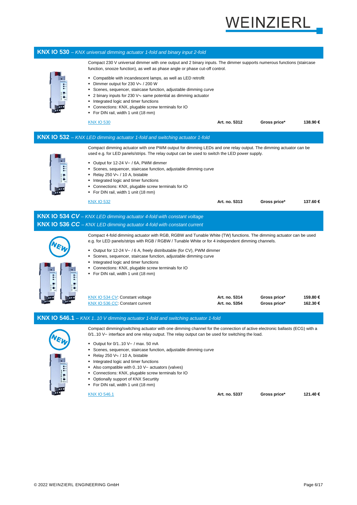

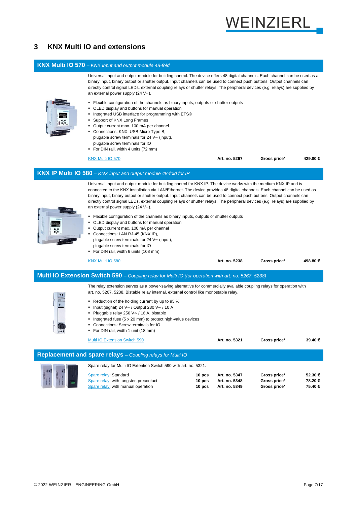

## <span id="page-6-0"></span>**3 KNX Multi IO and extensions**

#### **KNX Multi IO 570** *– KNX input and output module 48-fold*



- Output current max. 100 mA per channel
- Connections: LAN RJ-45 (KNX IP), plugable screw terminals for 24 V= (input), plugable screw terminals for IO
- For DIN rail, width 6 units (108 mm)

[KNX Multi IO 580](https://www.weinzierl.de/en/products/580) **Art. no. 5238 Gross price\* 498.80 €**

#### **Multi IO Extension Switch 590** *– Coupling relay for Multi IO (for operation with art. no. 5267, 5238)*

The relay extension serves as a power-saving alternative for commercially available coupling relays for operation with art. no. 5267, 5238. Bistable relay internal, external control like monostable relay.

- Reduction of the holding current by up to 95 %
- Input (signal) 24 V⎓ / Output 230 V∿ / 10 A
- Pluggable relay 250 V∿ / 16 A, bistable
- Integrated fuse (5 x 20 mm) to protect high-value devices

Spare relay for Multi IO Extention Switch 590 with art. no. 5321.

- Connections: Screw terminals for IO
- For DIN rail, width 1 unit (18 mm)

[Multi IO Extension Switch 590](https://www.weinzierl.de/en/products/590) **Art. no. 5321 Gross price\* 39.40 €**

**Replacement and spare relays** *– Coupling relays for Multi IO*

| Spare relay: Standard                 | 10 pcs | Art. no. 5347 | Gross price* | 52.30 € |
|---------------------------------------|--------|---------------|--------------|---------|
| Spare relay: with tungsten precontact | 10 pcs | Art. no. 5348 | Gross price* | 78.20€  |
| Spare relay: with manual operation    | 10 pcs | Art. no. 5349 | Gross price* | 75.40 € |
|                                       |        |               |              |         |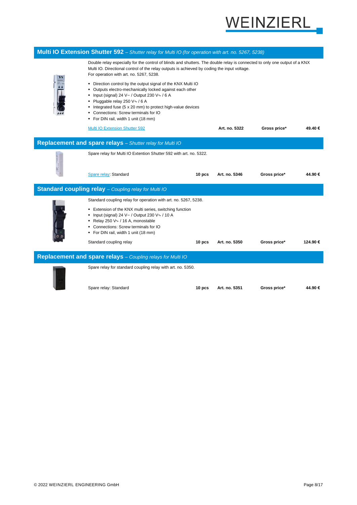

| Multi IO Extension Shutter 592 - Shutter relay for Multi IO (for operation with art. no. 5267, 5238) |                                                                                                                                                                                                                                                                                                                                                                            |        |               |              |         |  |
|------------------------------------------------------------------------------------------------------|----------------------------------------------------------------------------------------------------------------------------------------------------------------------------------------------------------------------------------------------------------------------------------------------------------------------------------------------------------------------------|--------|---------------|--------------|---------|--|
|                                                                                                      | Double relay especially for the control of blinds and shutters. The double relay is connected to only one output of a KNX<br>Multi IO. Directional control of the relay outputs is achieved by coding the input voltage.<br>For operation with art. no. 5267, 5238.                                                                                                        |        |               |              |         |  |
|                                                                                                      | • Direction control by the output signal of the KNX Multi IO<br>Outputs electro-mechanically locked against each other<br>٠<br>Input (signal) 24 V = / Output 230 V $\sim$ / 6 A<br>٠<br>Pluggable relay 250 V∿ / 6 A<br>٠<br>• Integrated fuse (5 x 20 mm) to protect high-value devices<br>• Connections: Screw terminals for IO<br>• For DIN rail, width 1 unit (18 mm) |        |               |              |         |  |
|                                                                                                      | Multi IO Extension Shutter 592                                                                                                                                                                                                                                                                                                                                             |        | Art. no. 5322 | Gross price* | 49.40€  |  |
| Replacement and spare relays - Shutter relay for Multi IO                                            |                                                                                                                                                                                                                                                                                                                                                                            |        |               |              |         |  |
|                                                                                                      | Spare relay for Multi IO Extention Shutter 592 with art. no. 5322.                                                                                                                                                                                                                                                                                                         |        |               |              |         |  |
|                                                                                                      | Spare relay: Standard                                                                                                                                                                                                                                                                                                                                                      | 10 pcs | Art. no. 5346 | Gross price* | 44.90€  |  |
|                                                                                                      | Standard coupling relay - Coupling relay for Multi IO                                                                                                                                                                                                                                                                                                                      |        |               |              |         |  |
|                                                                                                      | Standard coupling relay for operation with art. no. 5267, 5238.                                                                                                                                                                                                                                                                                                            |        |               |              |         |  |
|                                                                                                      | • Extension of the KNX multi series, switching function<br>• Input (signal) 24 V= / Output 230 V $\sim$ / 10 A<br>Relay 250 V $\sim$ / 16 A, monostable<br>• Connections: Screw terminals for IO<br>• For DIN rail, width 1 unit (18 mm)                                                                                                                                   |        |               |              |         |  |
|                                                                                                      | Standard coupling relay                                                                                                                                                                                                                                                                                                                                                    | 10 pcs | Art. no. 5350 | Gross price* | 124.90€ |  |
| Replacement and spare relays - Coupling relays for Multi IO                                          |                                                                                                                                                                                                                                                                                                                                                                            |        |               |              |         |  |
|                                                                                                      | Spare relay for standard coupling relay with art. no. 5350.                                                                                                                                                                                                                                                                                                                |        |               |              |         |  |
|                                                                                                      | Snare relay: Standard                                                                                                                                                                                                                                                                                                                                                      | 10 ncs | Art no 5351   | Gross price* | 44 90 € |  |



Spare relay: Standard **10 pcs Art. no. 5351 Gross price\* 44.90 €**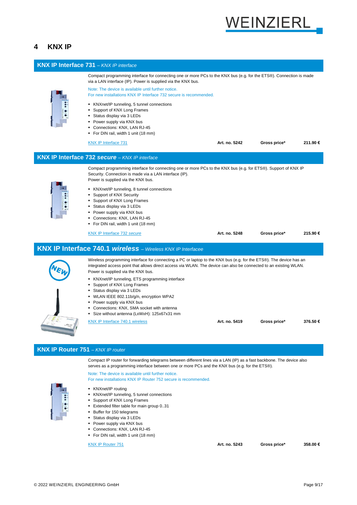

#### <span id="page-8-0"></span>**4 KNX IP**



▪ For DIN rail, width 1 unit (18 mm)

[KNX IP Router 751](https://www.weinzierl.de/en/products/751) **Art. no. 5243 Gross price\* 358.00 €**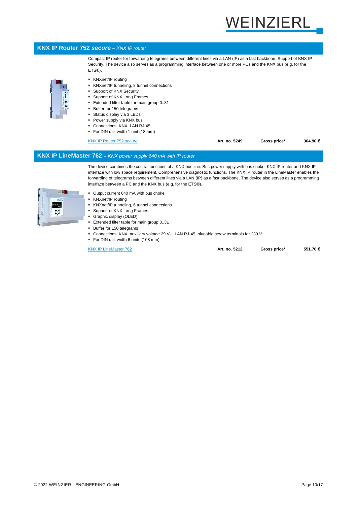# **EINZIERL**

#### **KNX IP Router 752** *secure – KNX IP router*

Compact IP router for forwarding telegrams between different lines via a LAN (IP) as a fast backbone. Support of KNX IP Security. The device also serves as a programming interface between one or more PCs and the KNX bus (e.g. for the ETS®).

- 
- KNXnet/IP routing
- KNXnet/IP tunneling, 8 tunnel connections
- Support of KNX Security
- Support of KNX Long Frames
- Extended filter table for main group 0..31
- Buffer for 150 telegrams
- Status display via 3 LEDs
- Power supply via KNX bus
- Connections: KNX, LAN RJ-45
- For DIN rail, width 1 unit (18 mm)

[KNX IP Router 752](https://www.weinzierl.de/en/products/752) *secure* **Art. no. 5249 Gross price\* 364.90 €**

#### **KNX IP LineMaster 762** *– KNX power supply 640 mA with IP router*

The device combines the central functions of a KNX bus line: Bus power supply with bus choke, KNX IP router and KNX IP interface with low space requirement. Comprehensive diagnostic functions. The KNX IP router in the LineMaster enables the forwarding of telegrams between different lines via a LAN (IP) as a fast backbone. The device also serves as a programming interface between a PC and the KNX bus (e.g. for the ETS®).



- Output current 640 mA with bus choke
- KNXnet/IP routing
- KNXnet/IP tunneling, 6 tunnel connections
- Support of KNX Long Frames
- Graphic display (OLED)
- Extended filter table for main group 0..31
- Buffer for 150 telegrams
- Connections: KNX, auxiliary voltage 29 V<sup>{-</sup>, LAN RJ-45, plugable screw terminals for 230 V ~.
- For DIN rail, width 6 units (108 mm)

[KNX IP LineMaster 762](https://www.weinzierl.de/en/products/762) **Art. no. 5212 Gross price\* 551.70 €**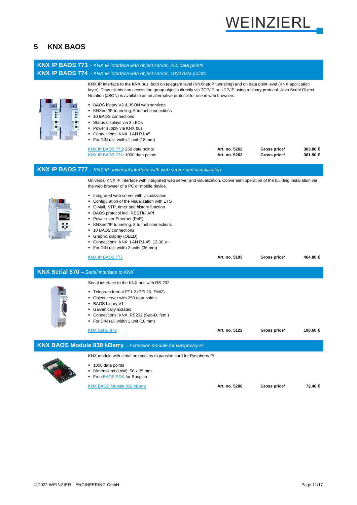

## <span id="page-10-0"></span>**5 KNX BAOS**

| <b>KNX IP BAOS 773</b> – KNX IP interface with object server, 250 data points                                                                                                                                                                                                                                                                                                                                                                                                                                                                                                                                                                                     |                                |                              |                     |
|-------------------------------------------------------------------------------------------------------------------------------------------------------------------------------------------------------------------------------------------------------------------------------------------------------------------------------------------------------------------------------------------------------------------------------------------------------------------------------------------------------------------------------------------------------------------------------------------------------------------------------------------------------------------|--------------------------------|------------------------------|---------------------|
| <b>KNX IP BAOS 774</b> - KNX IP interface with object server, 1000 data points                                                                                                                                                                                                                                                                                                                                                                                                                                                                                                                                                                                    |                                |                              |                     |
| KNX IP interface to the KNX bus, both on telegram level (KNXnet/IP tunneling) and on data point level (KNX application<br>layer). Thus clients can access the group objects directly via TCP/IP or UDP/IP using a binary protocol. Java Script Object<br>Notation (JSON) is available as an alternative protocol for use in web browsers.<br>BAOS binary V2 & JSON web services<br>KNXnet/IP tunneling, 5 tunnel connections<br>■ 10 BAOS connections<br>Status displays via 3 LEDs<br>• Power supply via KNX bus<br>Connections: KNX, LAN RJ-45<br>• For DIN rail, width 1 unit (18 mm)<br>KNX IP BAOS 773: 250 data points<br>KNX IP BAOS 774: 1000 data points | Art. no. 5262<br>Art. no. 5263 | Gross price*<br>Gross price* | 303.80 €<br>361.90€ |
| <b>KNX IP BAOS 777</b> - KNX IP universal interface with web server and visualization                                                                                                                                                                                                                                                                                                                                                                                                                                                                                                                                                                             |                                |                              |                     |
| Universal KNX IP interface with integrated web server and visualization. Convenient operation of the building installation via<br>the web browser of a PC or mobile device.<br>• Integrated web server with visualization<br>• Configuration of the visualization with ETS<br>• E-Mail, NTP, timer and history function<br>• BAOS protocol incl. RESTful API<br>• Power over Ethernet (PoE)<br>KNXnet/IP tunneling, 8 tunnel connections<br>■ 10 BAOS connections<br>Graphic display (OLED)<br>Connections: KNX, LAN RJ-45, 12-30 V-<br>• For DIN rail, width 2 units (36 mm)<br><b>KNX IP BAOS 777</b>                                                           | Art. no. 5193                  | Gross price*                 | 464.80 €            |
| <b>KNX Serial 870</b> - Serial interface to KNX                                                                                                                                                                                                                                                                                                                                                                                                                                                                                                                                                                                                                   |                                |                              |                     |
| Serial interface to the KNX bus with RS-232.<br>" Telegram format FT1.2 (PEI 10, EMI2)<br>• Object server with 250 data points<br>BAOS binary V1<br>Galvanically isolated<br>Connections: KNX, RS232 (Sub-D, fem.)<br>• For DIN rail, width 1 unit (18 mm)<br>KNX Serial 870                                                                                                                                                                                                                                                                                                                                                                                      | Art. no. 5122                  | Gross price*                 | 198.60 €            |
| KNX BAOS Module 838 kBerry - Extension module for Raspberry Pi                                                                                                                                                                                                                                                                                                                                                                                                                                                                                                                                                                                                    |                                |                              |                     |
| KNX module with serial protocol as expansion card for Raspberry Pi.                                                                                                                                                                                                                                                                                                                                                                                                                                                                                                                                                                                               |                                |                              |                     |
| ■ 1000 data points<br>Dimensions (LxW): 56 x 35 mm<br>Free BAOS SDK for Raspian                                                                                                                                                                                                                                                                                                                                                                                                                                                                                                                                                                                   |                                |                              |                     |
| <b>KNX BAOS Module 838 kBerry</b>                                                                                                                                                                                                                                                                                                                                                                                                                                                                                                                                                                                                                                 | Art. no. 5208                  | Gross price*                 | 72.40 €             |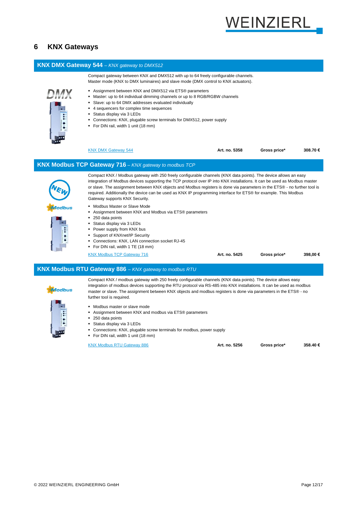

#### <span id="page-11-0"></span>**6 KNX Gateways**

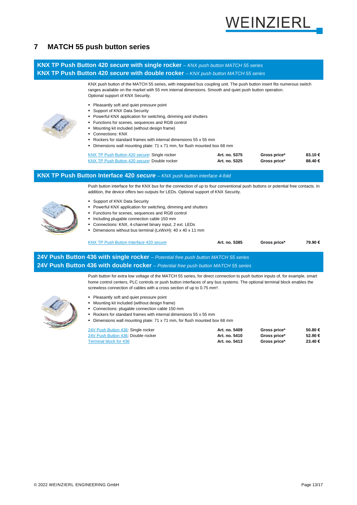

#### <span id="page-12-0"></span>**7 MATCH 55 push button series**

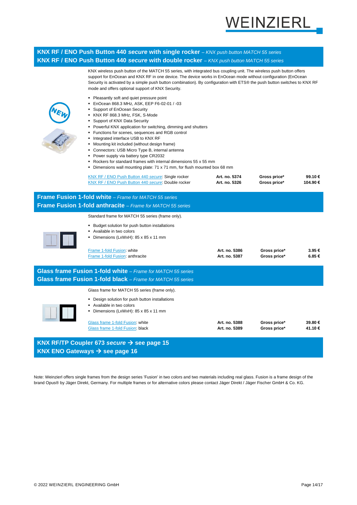

#### **KNX RF / ENO Push Button 440** *secure* **with single rocker** *– KNX push button MATCH 55 series* **KNX RF / ENO Push Button 440** *secure* **with double rocker** *– KNX push button MATCH 55 series*

| KNX wireless push button of the MATCH 55 series, with integrated bus coupling unit. The wireless push button offers<br>support for EnOcean and KNX RF in one device. The device works in EnOcean mode without configuration (EnOcean<br>Security is activated by a simple push button combination). By configuration with ETS® the push button switches to KNX RF<br>mode and offers optional support of KNX Security.<br>• Pleasantly soft and quiet pressure point<br>EnOcean 868.3 MHz, ASK, EEP F6-02-01 / -03<br>٠<br>Support of EnOcean Security<br>KNX RF 868.3 MHz, FSK, S-Mode<br>٠<br>Support of KNX Data Security<br>٠<br>Powerful KNX application for switching, dimming and shutters<br>٠<br>Functions for scenes, sequences and RGB control<br>Integrated interface USB to KNX RF<br>٠<br>Mounting kit included (without design frame)<br>٠ |                                                                                                                            |                                |                              |                   |  |  |
|-----------------------------------------------------------------------------------------------------------------------------------------------------------------------------------------------------------------------------------------------------------------------------------------------------------------------------------------------------------------------------------------------------------------------------------------------------------------------------------------------------------------------------------------------------------------------------------------------------------------------------------------------------------------------------------------------------------------------------------------------------------------------------------------------------------------------------------------------------------|----------------------------------------------------------------------------------------------------------------------------|--------------------------------|------------------------------|-------------------|--|--|
|                                                                                                                                                                                                                                                                                                                                                                                                                                                                                                                                                                                                                                                                                                                                                                                                                                                           | Connectors: USB Micro Type B, internal antenna<br>٠<br>٠                                                                   |                                |                              |                   |  |  |
|                                                                                                                                                                                                                                                                                                                                                                                                                                                                                                                                                                                                                                                                                                                                                                                                                                                           | Power supply via battery type CR2032<br>Rockers for standard frames with internal dimensions 55 x 55 mm                    |                                |                              |                   |  |  |
|                                                                                                                                                                                                                                                                                                                                                                                                                                                                                                                                                                                                                                                                                                                                                                                                                                                           | Dimensions wall mounting plate: 71 x 71 mm, for flush mounted box 68 mm<br>٠                                               |                                |                              |                   |  |  |
|                                                                                                                                                                                                                                                                                                                                                                                                                                                                                                                                                                                                                                                                                                                                                                                                                                                           | KNX RF / ENO Push Button 440 secure: Single rocker<br>KNX RF / ENO Push Button 440 secure: Double rocker                   | Art. no. 5374<br>Art. no. 5326 | Gross price*<br>Gross price* | 99.10€<br>104.90€ |  |  |
| Frame Fusion 1-fold white - Frame for MATCH 55 series                                                                                                                                                                                                                                                                                                                                                                                                                                                                                                                                                                                                                                                                                                                                                                                                     |                                                                                                                            |                                |                              |                   |  |  |
|                                                                                                                                                                                                                                                                                                                                                                                                                                                                                                                                                                                                                                                                                                                                                                                                                                                           | Frame Fusion 1-fold anthracite - Frame for MATCH 55 series                                                                 |                                |                              |                   |  |  |
|                                                                                                                                                                                                                                                                                                                                                                                                                                                                                                                                                                                                                                                                                                                                                                                                                                                           | Standard frame for MATCH 55 series (frame only).                                                                           |                                |                              |                   |  |  |
|                                                                                                                                                                                                                                                                                                                                                                                                                                                                                                                                                                                                                                                                                                                                                                                                                                                           | • Budget solution for push button installations<br>Available in two colors<br>Dimensions (LxWxH): 85 x 85 x 11 mm          |                                |                              |                   |  |  |
|                                                                                                                                                                                                                                                                                                                                                                                                                                                                                                                                                                                                                                                                                                                                                                                                                                                           | Frame 1-fold Fusion: white<br>Frame 1-fold Fusion: anthracite                                                              | Art. no. 5386<br>Art. no. 5387 | Gross price*<br>Gross price* | 3.95€<br>6.85€    |  |  |
|                                                                                                                                                                                                                                                                                                                                                                                                                                                                                                                                                                                                                                                                                                                                                                                                                                                           | Glass frame Fusion 1-fold white - Frame for MATCH 55 series<br>Glass frame Fusion 1-fold black - Frame for MATCH 55 series |                                |                              |                   |  |  |
|                                                                                                                                                                                                                                                                                                                                                                                                                                                                                                                                                                                                                                                                                                                                                                                                                                                           | Glass frame for MATCH 55 series (frame only).                                                                              |                                |                              |                   |  |  |
|                                                                                                                                                                                                                                                                                                                                                                                                                                                                                                                                                                                                                                                                                                                                                                                                                                                           | • Design solution for push button installations<br>Available in two colors<br>• Dimensions (LxWxH): 85 x 85 x 11 mm        |                                |                              |                   |  |  |
|                                                                                                                                                                                                                                                                                                                                                                                                                                                                                                                                                                                                                                                                                                                                                                                                                                                           | Glass frame 1-fold Fusion: white<br>Glass frame 1-fold Fusion: black                                                       | Art. no. 5388<br>Art. no. 5389 | Gross price*<br>Gross price* | 39.80€<br>41.10€  |  |  |
|                                                                                                                                                                                                                                                                                                                                                                                                                                                                                                                                                                                                                                                                                                                                                                                                                                                           | KNX RF/TP Coupler 673 secure $\rightarrow$ see page 15<br>KNX ENO Gateways $\rightarrow$ see page 16                       |                                |                              |                   |  |  |

Note: Weinzierl offers single frames from the design series 'Fusion' in two colors and two materials including real glass. Fusion is a frame design of the brand Opus® by Jäger Direkt, Germany. For multiple frames or for alternative colors please contact Jäger Direkt / Jäger Fischer GmbH & Co. KG.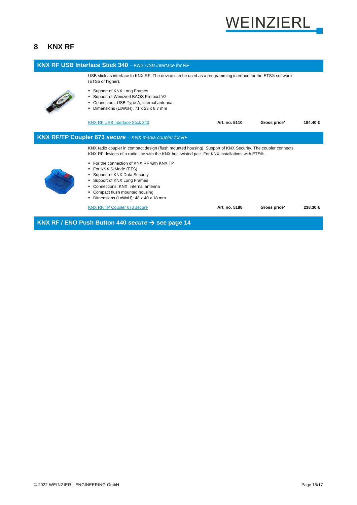

## <span id="page-14-0"></span>**8 KNX RF**

| <b>KNX RF USB Interface Stick 340 - KNX USB interface for RF</b>                                                                                                                                             |                                                                                                                                                                                                                                                          |               |              |         |
|--------------------------------------------------------------------------------------------------------------------------------------------------------------------------------------------------------------|----------------------------------------------------------------------------------------------------------------------------------------------------------------------------------------------------------------------------------------------------------|---------------|--------------|---------|
|                                                                                                                                                                                                              | USB stick as interface to KNX RF. The device can be used as a programming interface for the ETS® software<br>(ETS5 or higher).                                                                                                                           |               |              |         |
|                                                                                                                                                                                                              | • Support of KNX Long Frames<br>• Support of Weinzierl BAOS Protocol V2<br>• Connectors: USB Type A, internal antenna<br>Dimensions (LxWxH): 71 x 23 x 8.7 mm                                                                                            |               |              |         |
|                                                                                                                                                                                                              | <b>KNX RF USB Interface Stick 340</b>                                                                                                                                                                                                                    | Art. no. 5110 | Gross price* | 184.40€ |
|                                                                                                                                                                                                              | <b>KNX RF/TP Coupler 673 secure - KNX media coupler for RF</b>                                                                                                                                                                                           |               |              |         |
| KNX radio coupler in compact design (flush mounted housing). Support of KNX Security. The coupler connects<br>KNX RF devices of a radio line with the KNX bus twisted pair. For KNX installations with ETS®. |                                                                                                                                                                                                                                                          |               |              |         |
|                                                                                                                                                                                                              | • For the connection of KNX RF with KNX TP<br>■ For KNX S-Mode (ETS)<br>• Support of KNX Data Security<br>• Support of KNX Long Frames<br>Connections: KNX, internal antenna<br>• Compact flush mounted housing<br>• Dimensions (LxWxH): 48 x 40 x 18 mm |               |              |         |
|                                                                                                                                                                                                              | <b>KNX RF/TP Coupler 673 secure</b>                                                                                                                                                                                                                      | Art. no. 5188 | Gross price* | 238.30€ |
|                                                                                                                                                                                                              | <b>KNY RE / ENO Puch Button 440 secure <math>\rightarrow</math> see page 14</b>                                                                                                                                                                          |               |              |         |

**KNX RF / ENO Push Button 440** *secure* → **see page 14**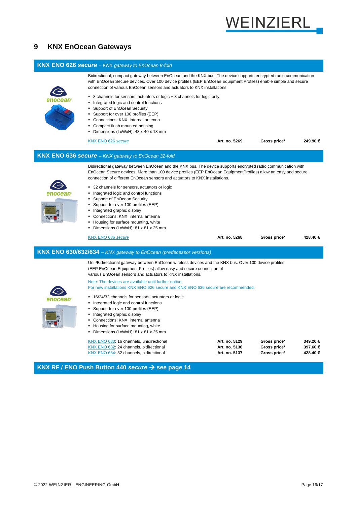

#### <span id="page-15-0"></span>**9 KNX EnOcean Gateways**



#### **KNX RF / ENO Push Button 440** *secure* → **see page 14**